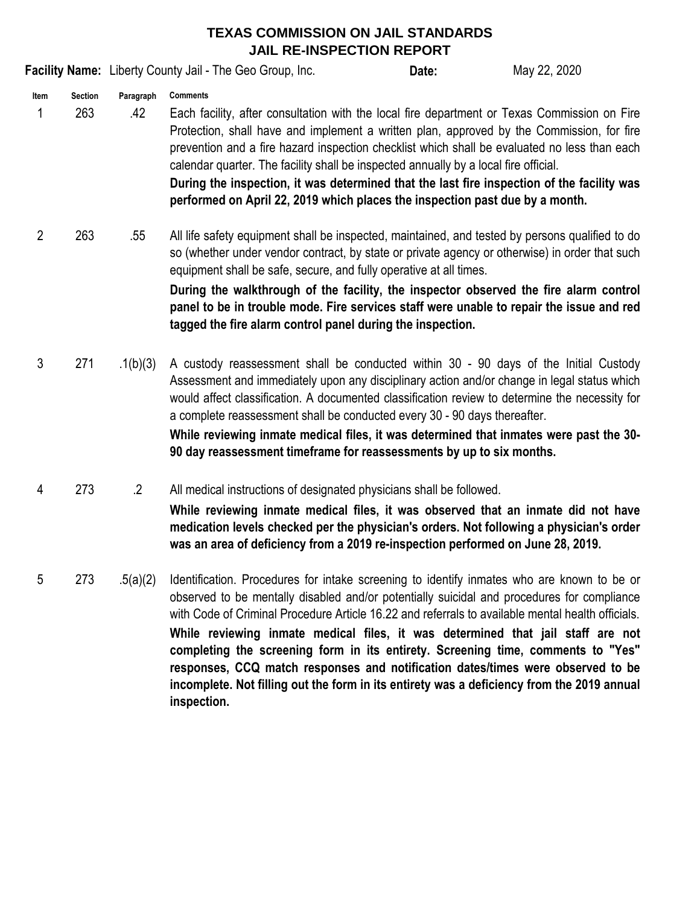## **TEXAS COMMISSION ON JAIL STANDARDS JAIL RE-INSPECTION REPORT**

**Facility Name:** Liberty County Jail - The Geo Group, Inc. **Date:** Date: May 22, 2020

- **Item Section Paragraph** 1 263 .42 **Comments** Each facility, after consultation with the local fire department or Texas Commission on Fire Protection, shall have and implement a written plan, approved by the Commission, for fire prevention and a fire hazard inspection checklist which shall be evaluated no less than each calendar quarter. The facility shall be inspected annually by a local fire official. **During the inspection, it was determined that the last fire inspection of the facility was performed on April 22, 2019 which places the inspection past due by a month.**
- 2 263 .55 All life safety equipment shall be inspected, maintained, and tested by persons qualified to do so (whether under vendor contract, by state or private agency or otherwise) in order that such equipment shall be safe, secure, and fully operative at all times.

**During the walkthrough of the facility, the inspector observed the fire alarm control panel to be in trouble mode. Fire services staff were unable to repair the issue and red tagged the fire alarm control panel during the inspection.** 

**Date:**

- 3 271 .1(b)(3) **While reviewing inmate medical files, it was determined that inmates were past the 30- 90 day reassessment timeframe for reassessments by up to six months.**  A custody reassessment shall be conducted within 30 - 90 days of the Initial Custody Assessment and immediately upon any disciplinary action and/or change in legal status which would affect classification. A documented classification review to determine the necessity for a complete reassessment shall be conducted every 30 - 90 days thereafter.
- 4 273 .2 All medical instructions of designated physicians shall be followed.

**While reviewing inmate medical files, it was observed that an inmate did not have medication levels checked per the physician's orders. Not following a physician's order was an area of deficiency from a 2019 re-inspection performed on June 28, 2019.**

5 273 .5(a)(2) **While reviewing inmate medical files, it was determined that jail staff are not completing the screening form in its entirety. Screening time, comments to "Yes" responses, CCQ match responses and notification dates/times were observed to be incomplete. Not filling out the form in its entirety was a deficiency from the 2019 annual inspection.**  Identification. Procedures for intake screening to identify inmates who are known to be or observed to be mentally disabled and/or potentially suicidal and procedures for compliance with Code of Criminal Procedure Article 16.22 and referrals to available mental health officials.